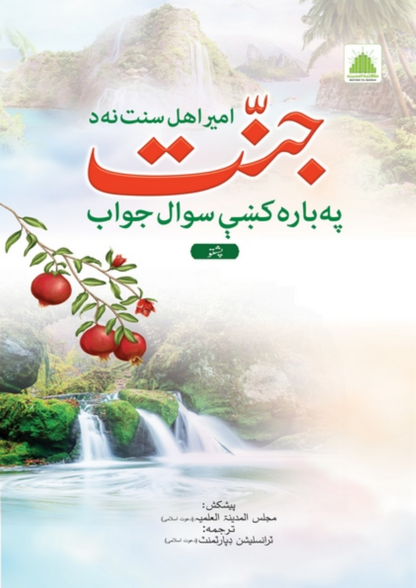

س<br>میراهل سنتنه



بيشكش: مجلس المدينة العلميہ بين بني ترجمه: ترانسليثىن ڊپارتمنٽ بيت بحي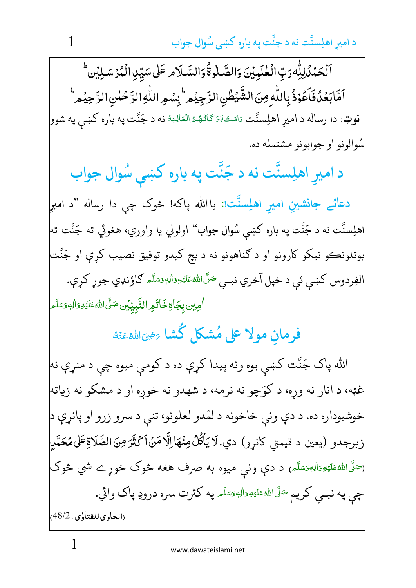د امير اهلِسنَّت نه د جنَّت په باره كښى سُوال جواب مسمود بال

ٰ ٱلۡحَمۡدُٰلِلّٰٓهِ رَبِّ الۡلَّٰكِيۡيۡنَ وَالصَّـٰلٰٓوةُۚ وَالسَّـلَامِ عَلَىٰ سَيِّدِ الۡمُرۡ سَـٰلِيۡن ۖ ٰ ٰ ٰ ٱمَّابَعُدُفَأَعُوْذُ بِاللَّهِ مِنَ الشَّيْطُنِ الرَّجِيُم<sup>ِ ل</sup>بِسُمِ اللَّهِ الرَّحْمٰنِ الرَّحِيُم<sup>ِ ط</sup>َّ į ٰ J **نوټ**: دا رساله د اميرِ اهلِسنَّت مَاصَـَـْدَكَاتُـهُـهْ الْعَالِيَـهْ نه د جَنَّت په باره كښې په شوو<mark>.</mark> -**∶** í <u>ُ</u> م<br>ا ا<br>ا  $\overline{1}$ **∶** ๎ سُوالونو او جوابونو مشتمله ده.

.<br><mark>ن</mark>ّت نه د <mark>د اميرِ اه</mark>لِسنَّت نه د جَنَّت   $\tilde{\phantom{a}}$ جَنت په باره کښې سُوال جواب و<br>. په باره کښې سُوال جواب

دعائے جانشینِ امیرِ اھلِسنت  $\frac{1}{2}$ **دعائے جانشینِ امیرِ اہلِسنّت: یاالله پاکه! څوک چې دا رساله "د امیرِ** اهلِسنَّت نه د جَنَّت په باره کښي سُوال جواب'' اولولي يا واوري، هغوئي ته جَنَّت ته بوتلونڪو نيکو کارونو او د ګناهونو نه د بچ کيدو توفيق نصيب کړې او جَنَّت الفِردوس كښې ئې د خپل آخري نبـي <sup>صَلَّى</sup>اللهٔ عَلَيْهِ وَالِهٖ وَسَلَّم كاؤنډي جوړ كړې. َ اً **∫** <u>ا</u> <u>ا</u> **ٔ** <u>َ</u> ا<br>أ **اٰمِين بِجَاةِ خَاتَمِ النَّبِيِّيُن صَلَّى اللهُ عَلَيْهِ وَالهِ وَسَلَّم** َ ا **∶** َ َ **ٔ E** <u>مُ</u>

> فرمانِ مولاً على مَشكل كشا Ş **مانِ مولا على مُ<mark>شك</mark>ل كُشا** يَضِيَاللهُءَنَّهُ <u>َ</u> ُ ِ<br>أ

الله پاک جَنَّت کښې يوه ونه پيدا کړې ده د کومې ميوه چې د منړې نه غټه، د انار نه وړه، د کوَچو نه نرمه، د شهدو نه خوږه او د مشکو نه زياته خوشبوداره ده. د دې ونې خاخونه د لمْدو لعلونو، تنې د سرو زرو او پانړې د زبرجدو (يعين د قيمتي كانړو) دي.لايَأْكُلُ مِنْهَاٳلَّا مَنْ1َكْتُومِنَاالصَّلاَةِعَلىمُحَمَّلٍ (<sup>صَلَّى</sup> الل<sup>ه</sup>ءَلَي<sub>َّكَ</sub>وَالِهِوَسَلَّم<sub>َ</sub>) د دې ون<sub>ې</sub> ميوه به صرف هغه څوک خوړے شي څوک َ اً **∶** <u>ا</u> َ **ٔ E** <u>ہ</u> چې په نبــي كريم <sup>صَلَّى</sup>الله عَلَيْهِ وَالِهٖمَتَلَم په كثرت سره درودِ پاک وائي. اً **∫** <u>ا</u> <u>ا</u> **ٔ E** <u>ُ</u> َ (الحاوي للفتاوي ، 48/2) ٰ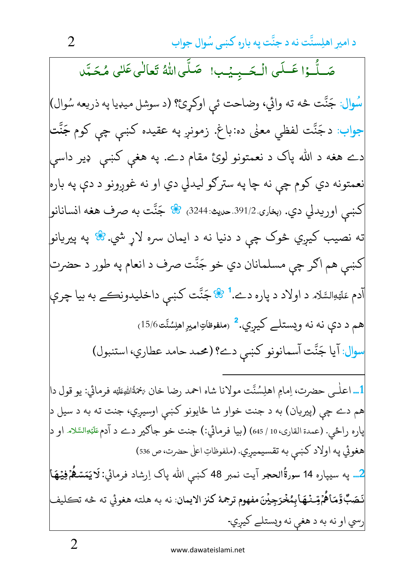صَلُّـوۡا عَـلَى الۡـحَــبِـيۡب! ۖ صَلَّى اللَّهُ تَعَالٰى عَلَى مُحَـمَّد سُوال: جَنَّت څه ته وائي، وضاحت ئي اوكړئ؟ (د سوشل ميډيا په ذريعه سُوال) جواب: دجَنَّت لفظي معنٰي ده:باغ. زمونږ په عقیده کښی چی کوم جَنَّت دے هغه د الله پاک د نعمتونو لوئ مقام دے. په هغې کښې ډیر داسې نعمتونه دي كوم چي نه چا په سترګو ليدلي دي او نه غوږونو د دې په باره كښى اوريدلي دي. <sub>(</sub>بخاري.391/2<sub>٠</sub>صيث:3244<sub>)</sub> ۞ جَنَّت به صرف هغه انسانانو| ته نصيب کيږي څوک چي د دنيا نه د ايمان سره لاړ شي.& په پيريانو| کښې هم اګر چې مسلمانان دي خو جَنَّت صرف د انعام په طور د حضرت اّدم عَلَيْهِالسَّلَام د اولاد د پاره دے.<sup>1</sup> ۞ جَنَّت كښى داخليدونڪے به بيا چرې هم د دې نه نه ويستلے کيږي.<sup>2</sup> رملفوظاتِاميرِ اهلِسُنَّت6/15<sub>/</sub> <mark>موال</mark>: آيا جَنَّت آسمانونو كښى دے؟ (محمد حامد عطاري، استنبول) 1… اعلٰـمي حضرت، اِمامِ اهلِسُنَّت مولانا شاه احمد رضا خان يَخمَةُاللهِءَلَنِه فرمائي: يو قول دا| هم دے چي (پيريان) به د جنت خواو شا ځايونو كښى اوسيږي، جنت ته به د سيل د باره راځي. (عمدة القاري، 10 / 645) (بيا فرمائي:) جنت خو جاګير دے د آدمﷺالسَّلام او د هغوئي په اولاد كښى به تقسيميږي. (ملفوظاتِ اعلىٰ حضرت، ص 536) 2… په سيپاره 14 سورةُالحجر آيت نمبر 48 كښى الله پاک اِرشاد فرمائي:کاکيَمَسْعُمۡفِيۡهَا نَصَبٌ وَّمَاهُمْ مِّـنْمَهَا بِمُخْرَجِيْنَ مفهوم ترجمهٔ كنز الايمان نه به هلته هغوئي ته څه تڪليف رسي او نه به د هغې نه ويستلے کيږي.

 $\overline{2}$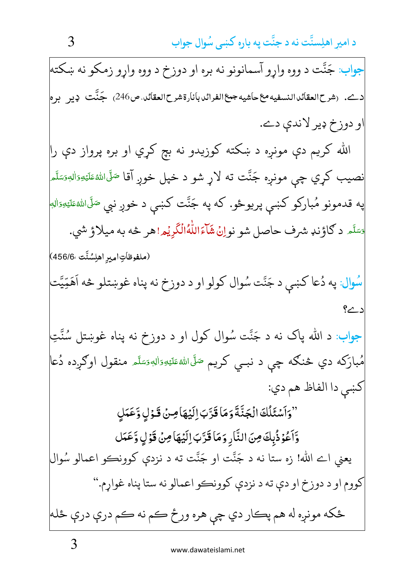جواب: جَنَّت د ووه واړو آسمانونو نه بره او دوزخ د ووه واړو زمکو نه ښکته دے. (شرح|لعقائد|النسفيه،ع حاشيه جمع|الفرائدبانارةشرح|لعقائد.ص246) جَنَّت ديبر بره| او دوزخ ډير لاندې دے. الله کريم دې مونږه د ښکته کوزيدو نه بچ کړي او بره پرواز دې را نصيب کړي چې مونږه جَنَّت ته لاړ شو د خپل خوږ آقا <sup>صَ</sup>لَّىالله<sup>ي</sup>قلَي<sub>ُل</sub>وَالله<sub>َ</sub>تَسَلَّم په قدمونو مُبارکو کښې پريوځو. که په جَنَّت کښې د خوږ نبي <sup>صَ</sup>لَىاللهٔڠلَي<sub>َّةِٱ</sub>لب<sup>ِ</sup> قَسَّدَ د ګاؤنډ شرف حاصل شو نواِنُ شَاءَاللّٰهُاللّٰهُ الْكَرِيْمِ! هر څه به ميلاؤ شي. (ملفوظاتِ|ميرِ اهلِسُنَّت ،456/6) سُوال: په دُعا کښې د جَنَّت سُوال کولو او د دوزخ نه پناه غوښتلو څه اَهَمِّيَّت د ے؟ جواب: د الله پاک نه د جَنَّت سُوال کول او د دوزخ نه پناه غوښتل سُنَّتِ مُبارَکه دي څنګه چې د نبــې کريم <sup>صَلَّى</sup>الل<sup>ه</sup>ءَلي<sub>َّ</sub>وَالي<sub>َّ</sub>وَسَلَّم منقول اوګرده دُعا كښې دا الفاظ هم دي: "وَأَسْئَلُكَ الْجَنَّةَ وَمَا قَدَّبَ إِلَيْهَا مِنْ قَبْوٰلٍ وَّعَمَلِ وَّاَعُوْذُبِكَ مِنَ النَّارِ وَمَا قَرَّبَ اِلَيُهَا مِنْ قَوْلٍ وَّعَمَل يعني اے الله! زه ستا نه د جَنَّت او جَنَّت ته د نزدي کوونڪو اعمالو سُوال کووم او د دوزخ او دې ته د نزدې کوونکو اعمالو نه ستا پناه غواړم." ځکه مونږه له هم پڪار دي چې هره ورځ ڪم نه ڪم درې درې ځله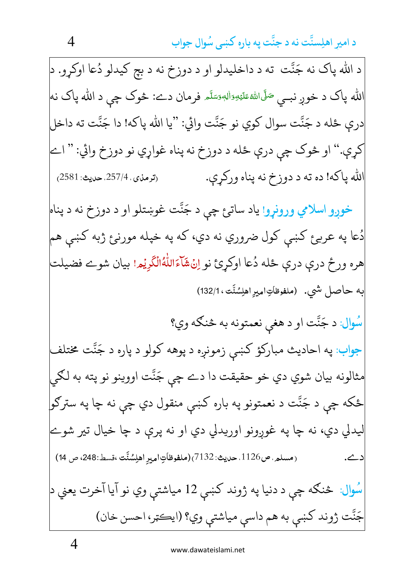د الله پاک نه جَنَّت ته د داخليدلو او د دوزخ نه د بچ کيدلو دُعا اوکړو. د الله پاک د خوږ نبــې <sup>صَلَّى</sup>اللهٔعَلَيْهِوَاللهٖوَسَلَّہ فرمان دے: څوک چې د الله پاک نه درې ځله د جَنَّت سوال کوي نو جَنَّت وائي: "يا الله پاکه! دا جَنَّت ته داخل کړې." او څوک چې درې ځله د دوزخ نه پناه غواړي نو دوزخ وائي: " اے الله پاکه! ده ته د دوزخ نه پناه ورکړې. (ترمذي، 257/4. حديث: 2581) خوږو اسلامي ورونړو! ياد سات<sub>ئ</sub> چې د جَنَّت غوښتلو او د دوزخ نه د پناه دُعا په عربۍٔ کښي کول ضروري نه دي، که په خپله مورنۍٔ ژبه کښي هم هره ورځ درې درې ځله دُعا اوكړئ نو اِنُ۩َاءَاللّٰهُالْكَرِيُمِ! بيان شوے فضيلت به حاصل شي. (ملفوظاتِاميرِاهلِسُنَّت،132/1) سُوال: د جَنَّت او د هغي نعمتونه به څنګه وي؟ جواب: په احاديث مبارکؤ کښې زمونږه د پوهه کولو د پاره د جَنَّت مختلف مثالونه بيان شوي دي خو حقيقت دا دے چي جَنَّت اووينو نو پته به لکي ځکه چي د جَنَّت د نعمتونو په باره کښې منقول دي چې نه چا په سترګو| ليدلي دي، نه چا په غوږونو اوريدلي دي او نه پرې د چا خيال تير شوے (مسلم. ص1126. حديث: 7132)(ملفوظاَتِ اميرِ اهلِسُنَّت ،قسط:248، ص 14) | <u>د ے.</u> سُوال: څنګه چې د دنيا په ژوند کښې 12 مياشتې وي نو آيا آخرت يعني د جَنَّت ژوند کښي به هم داسې مياشتې وي؟ (ايڪټر، احسن خان)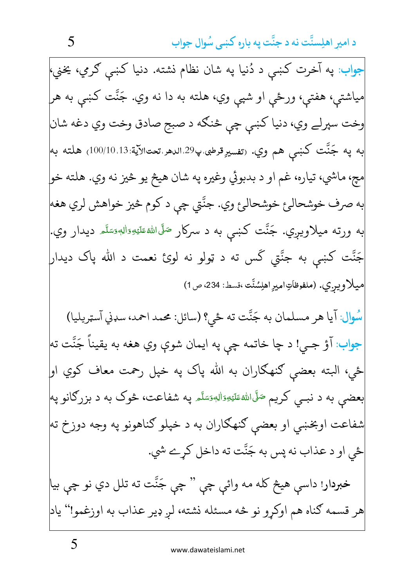جواب: په آخرت کښې د دُنيا په شان نظام نشته. دنيا کښې ګرمي، يخني، مياشتې، هفتې، ورځې او شپې وي، هلته به دا نه وي. جَنَّت کښې به هر وخت سپرلے وي، دنيا كښى چي څنگه د صبحِ صادق وخت وي دغه شان به په جَنَّت کښې هم وي. (تفسيرِقرطبی پ<sup>29</sup> الدهر تعتالآية 100/10.13) هلته به مچ، ماشي، تياره، غم او د بدبوئي وغيره په شان هيڅ يو څيز نه وي. هلته خو| به صرف خوشحالئ خوشحالئ وي. جنَّتي چي د كوم څيز خواهش لري هغه به ورته میلاویږي. جَنَّت کښی به د سرکار <sup>صَ</sup>لَّاللهٴعَلَۃِوَالل<sup>ه</sup>ِصَلَّہ دیدار وي. جَنَّت کښی به جنَّتی گس ته د ټولو نه لوئ نعمت د الله پاک دیدار ميلاويري. (ملفوظاتِ١ميرِ١طِسُنَّت،قسط: 234، ص1) سُوال: آيا هر مسلمان به جَنَّت ته ځي؟ (سائل: محمد احمد، سډني آسټريليا) جواب: آؤ جـي! د چا خاتمه چې په ايمان شوې وي هغه به يقيناً جَنَّت ته ځي، البته بعضي ګنهګاران به الله پاک په خپل رحمت معاف کوي او| بعضي به د نبــې کريم <sup>صَ</sup>لَىاللهٔ عَلَيْهِ َالهُمَسَّه په شفاعت، څوک به د بزرګانو په شفاعت اوبخښي او بعضي ګنهګاران به د خپلو ګناهونو په وجه دوزخ ته ځي او د عذاب نه پس به جَنَّت ته داخل كړے شي. خبردار! داسې هيڅ کله مه وائې چې " چې جَنَّت ته تلل دي نو چې بيا هر قسمه ګناه هم اوکړو نو څه مسئله نشته، لږ ډير عذاب به اوزغمو!" ياد

5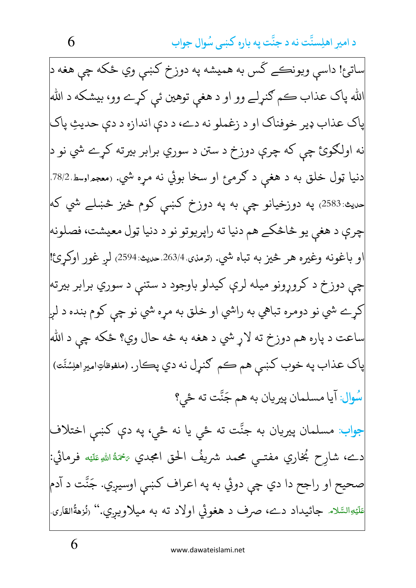ساتئ! داسي ويونڪے کَس به هميشه په دوزخ کښي وي ځکه چي هغه د| الله پاک عذاب ڪم ګنړلے وو او د هغي توهين ئي کړے وو، بيشکه د الله ياک عذاب ډير خوفناک او د زغملو نه دے، د دې اندازه د دې حديثِ پاک نه اولګوئ چي که چرې دوزخ د ستن د سوري برابر بيرته کړے شي نو د| دنيا ټول خلق به د هغې د ګرمۍ او سخا بوئي نه مړه شي. (معجمراوسط 78/2. <sub>حديث:</sub>2583<sub>)</sub> په دوزخيانو چې به په دوزخ کښې کوم څيز څښلے شي که چري د هغې يو څاڅکے هم دنيا ته راپريوتو نو د دنيا ټول معيشت، فصلونه| او باغونه وغيره هر څيز به تباه شي. (ترمنۍ 263/4 صيث:2594) لر غور اوکرئ! چې دوزخ د کروړونو ميله لرې کيدلو باوجود د ستنې د سوري برابر بيرته کړے شي نو دومره تباهي به راشي او خلق به مړه شي نو چې کوم بنده د لږ ساعت د پاره هم دوزخ ته لاړ شي د هغه به څه حال وي؟ ځکه چي د الله پاک عذاب په خوب کښي هم ڪم ګنړل نه دي پڪار. (ملفوظاتِاميرِ اهلِسُنَّت) سُوال: آيا مسلمان پيريان به هم جَنَّت ته ځي؟ <mark>جواب</mark>: مسلمان پيريان به جنَّت ته ځي يا نه ځي، په دې کښې اختلاف دے، شارِح بُخاري مفتــي محمد شريفُ الحق امجدي ﷺ فرمائي: صحيح او راجح دا دي چې دوئي به په اعراف كښې اوسيږي. جَنَّت د آدم عَلَيْهِالسَّلام جائيداد دے، صرف د هغوئي اولاد ته به ميلاويبري.'' (نُزهةُالقارى

6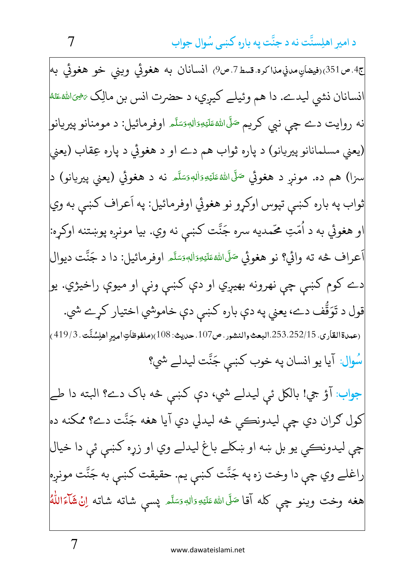ج4.ص351)رفيضانِ مدني مذاكره.قسط7.ص9) انسـانان به هغوئي ويني خو هغوئي به انسانان نشي ليدے. دا هم وئيلے كيږي، د حضرت انس بن مالِک <sub>تَ</sub>خِيَاللهُءَمُّا نه روايت دے چي نبي کريم <sup>صَ</sup>لَىاللهٔعَلَيۡهِوَاللهٖوَسَلَّـم اوفرمائيل: د مومنانو پيريانو (يعني مسلمانانو پيريانو) د پاره ثواب هم دے او د هغوئي د پاره عِقاب (يعني سزا) هم ده. مونږ د هغوئي <sup>صَلَّى</sup>اللهٔعَلَيْهِوَاللهوَسَلَّم نه د هغوئي (يعني پيريانو) د<mark>.</mark> ثواب په باره کښي تپوس اوکړو نو هغوئي اوفرمائيل: په اَعراف کښي به وي| او هغوئي به د اُمّتِ محّمديه سره جَنّت كښى نه وي. بيا مونږه پوښتنه اوكړه: اَعراف څه ته وائي؟ نو هغوئي <sup>صَ</sup>لَّاللهٔعَلَيۡهِ ٓاللهٖوَسَلَّہ اوفرمائيل: دا د جَنَّت ديوال دے کوم کښې چې نهرونه بهيږي او دې کښې ونې او ميوې راخيژي. يو قول د تَوَقُّف دے، يعني په دې باره کښې دې خاموشي اختيار کړے شي. (عمدةالقارى، 252/15،253.البعث والنشور، ص107، حديث: 108)(ملفوظاَتِ اميرِ اهلِسُنَّت، 419/3) سُوال: آيا يو انسان په خوب كښې جَنَّت ليدلے شي؟ جواب: آؤ جي! بالكل ئي ليدلے شي، دې كښى څه باک دے؟ البته دا طے کول ګران دي چې ليدونڪي څه ليدلي دي آيا هغه جَنَّت دے؟ ممکنه ده چي ليدونڪي يو بل ښه او ښکلے باغ ليدلے وي او زړه کښې ئې دا خيال راغلے وي چي دا وخت زه په جَنَّت كښى يم. حقيقت كښى به جَنَّت مونږه هغه وخت وينو چې كله آقا <sup>صَ</sup>لَى اللهٔ عَلَيۡهِ وَاللَّهِ وَسَلَّم پسمې شاته شاته اِنۡﷺُمَاللّٰهُ

 $\overline{7}$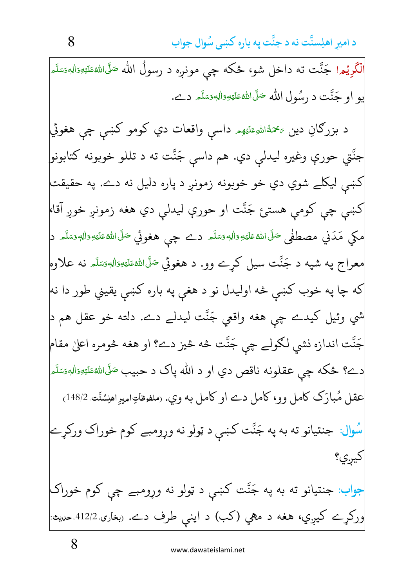الْكَرِيُم ! جَنَّت ته داخل شو، ځكه چې مونږه د رسولُ الله <sup>صَلّى</sup>الله£عَليْهِۥَاللهِ صَلّى .<br>أ َ ّ **∶** <u>ا</u> <u>ا</u> **ٔ E** <u>ہ</u> یو او جَنَّت د رسُول الله صَلَّىاللهٔعَلَيْهِsَاللهٖوَسَلَّہِ دے. و<br>م ڵؙ<br>֚ **أَ** َ **ٔ** <u>َ</u> <u>مُ</u> د بزرګانِ دین ع<sup>ی</sup>مَةُاللهِعَلَيْهِـ داسې واقعات دي کومو کښې چې هغوئي <u>ت</u> **ٔ E** جنَّتي حورې وغيره ليدل<sub>ي</sub> دي. هم داسې جَنَّت ته د تللو خوبونه كتابونو<mark>)</mark> کښې ليکلے شوي دي خو خوبونه زمونږ د پاره دليل نه دے. په حقيقت کښې چې کومې هستئ جَنَّت او حورې ليدلې دي هغه زمونږ خوږ آقا، مكي مَدَني مصطفٰى صَلَّى الله عَلَيْهِوَاٰلِهٖوَسَلَّہ دے چې هغوئي صَلَّى الله عَلَيْهِوَاٰلِهٖوَسَلَّہ د<mark>ِ</mark> اً <u>ا</u> <u>ا</u> **ٔ E** <u>ہ</u> اً **∶** <u>ا</u> <u>ا</u> **ٔ E** <u>ہ</u> معراج په شپه د جَنَّت سيل کړے وو. د هغوئي <sup>صَلَّى</sup>الل<sup>ه</sup>ءَلي<sub>َّ</sub>ءِال<sub>ل</sub>ه<sub>َ</sub>سَٿَہ نه علاوهِ ّ **∫** <u>ا</u> <u>ا</u> <u>ٔ</u> <u>أَ</u> <u>مُ</u> َ که چا په خوب کښې څه اوليدل نو د هغې په باره کښې يقيني طور دا نه| شي وئيل كيدے چې هغه واقعي جَنَّت ليدلے دے. دلته خو عقل هم د| جَنَّت اندازه نشي لكولے چي جَنَّت څه څيز دے؟ او هغه څومره اعلىٰ مقام دے؟ ځکه چې عقلونه ناقص دي او د الله پاک د حبيب <sup>صَلَّى</sup>الل<sup>ه</sup>ءَلي<sub>َّا</sub>وَالِه<sub>َ</sub>سَلَّم ّ <u>ا</u> <u>ا</u> **ٔ E** <u>ہ</u> عقل مُبارَک کامل وو، کامل دے او کامل به وي. رملفوظاتِ اميرِ اهلِسُنَّت 148/2) سُوال: جنتيانو ته به په جَنَّت كښې د ټولو نه وړومبے كوم خوراك وركړے کيږي؟ جواب: جنتیانو ته به په جَنَّت کښې د ټولو نه وړومبے چې کوم خوراک ورکړے کیږي، هغه د مهي (کب) د اینې طرف دے. <sub>(</sub>بغا<sub>د</sub>ی 412/2 حدیث<sup>!</sup>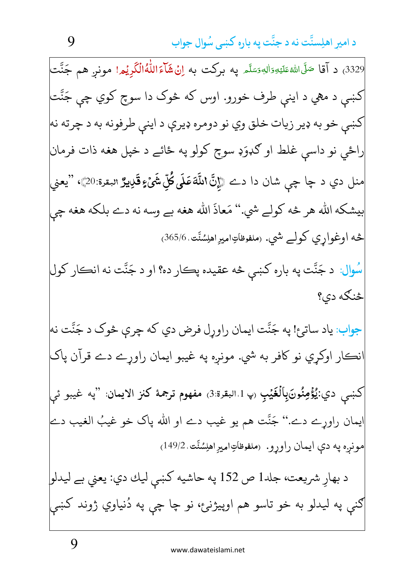3329) د آقا صَلَّىاللهﷺوَالِهٖوَسَلَّم په برکت به اِنۡ\$َامَاللّٰهُالۡكَٰرِیۡهِ ا مونږ هم جَنَّت کښې د مهي د اينې طرف خورو. اوس که څوک دا سوچ کوي چې جَنَّت| کښي خو به ډير زيات خلق وي نو دومره ډيرې د ايني طرفونه به د چرته نه راځي نو داسې غلط او ګډوَډ سوچ کولو په ځائے د خپل هغه ذات فرمان منل دي د چا چې شان دا دے ﴿إِنَّ اللَّهَ عَلَمَى كُلِّ شَمْءٍ قَلِيمٌ البقرة:20﴾، ''يعنى بيشكه الله هر څه كولے شي.'' مَعاذَ الله هغه بے وسه نه دے بلكه هغه چي څه اوغواري کولے شي. (ملفوظاتِاميرِاهلِسُنَّت 365/6<sub>)</sub> سُوال: د جَنَّت په باره کښي څه عقيده پڪار ده؟ او د جَنَّت نه انڪار کول څنگه دي؟ جواب: ياد ساتئ! په جَنَّت ايمان راوړل فرض دي كه چرې څوک د جَنَّت نه نڪار اوکړي نو کافر به شي. مونږه په غيبو ايمان راوړے دے قرآن پاک كښى دي:يُؤْمِنُونَ(ِبِالۡغَيۡبِ (پ1.البقرة:3) مفهوم ترجمهٔ كنز الايمان: ''په غيبو ئې ايمان راورے دے.'' جَنَّت هم يو غيب دے او الله پاک خو غيبُ الغيب دے مونږه په دې ايمان راوړو. (ملفوظاتِاميرِاهلِسُنَّت.149/2) د بهارِ شريعت، جلد1 ص 152 په حاشيه كښې ليك دي: يعني بے ليدلو| ګنې په ليدلو به خو تاسو هم اوپيژنئ، نو چا چې په دُنياوي ژوند کښې

9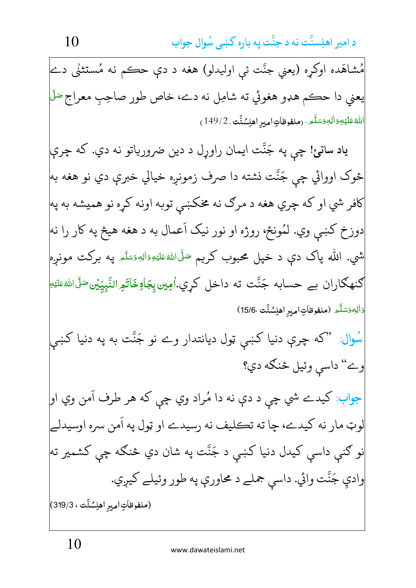مُشاهَده اوکړه (يعني جنَّت ئې اوليدلو) هغه د دې حڪم نه مُستثنى دے يعني دا حڪم هډو هغوئي ته شامِل نه دے، خاص طور صاحِب معراج َگَل اللهُ عَلَيْهِ وَالِهِ وَسَلَّمِ . (ملفوظاتِ اميرِ اهلِسُنَّت ، 149/2) ياد ساتئ! چې په جَنَّت ايمان راورل د دين ضرورياتو نه دي. که چرې څوک اووائي چې جَنَّت نشته دا صرف زمونږه خيالي خبري دي نو هغه به| کافر شي او که چري هغه د مرګ نه مخکښي توبه اونه کړه نو هميشه به په| دوزخ کښي وي. لمُونځ، روژه او نور نيک اَعمال به د هغه هيڅ په کار را نه شي. الله پاک دې د خپل محبوب کريم <sup>صَ</sup>لَىاللهٴعَلَيۡهِۦٓالله َتَمَلَّه په برکت مونږه ګنھگاران بے حسابه جَنَّت ته داخل کري.اُمِین بِجَاةِخَاتَمِرالنَّبِیِّیْن*َ صَ*لَّىالل*ُّا*ءَلَّٰهِ وَاٰلِهٖوَسَلَّمِ (ملفوظاتِ امِيرِ اهلِسُنَّت ،15/6) سُوال: "که چرې دنیا کښی ټول دیانتدار وے نو جَنَّت به په دنیا کښی وے" داسي وئيل څنگه دي؟ جواب: کيدے شي چې د دې نه دا مُراد وي چې که هر طرف اَمن وي او| لوټ مار نه کيدے، چا ته تڪليف نه رسيدے او ټول په اَمن سره اوسيدلے نو ګنې داسې کيدل دنيا کښې د جَنَّت په شان دي څنګه چې کشمير ته<mark>)</mark> وادي جَنَّت وائي. داسي جملے د محاورې په طور وئيلے كيږي. (ملفوظاتِ اميرِ اهلِسُنَّت ، 319/3)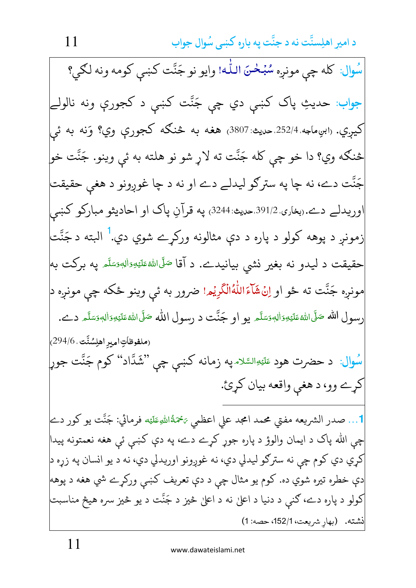سُوال: كله چې مونږه سُبُحْنَ اللّٰه! وايو نو جَنَّت كښى كومه ونه لكى؟ جواب: حديثِ پاک کښې دي چې جَنَّت کښې د کجورې ونه نالولے کيږي. رابوِماجه 252/4 حديث: 3807) هغه به څنګه کجورې وي؟ وَنه به ئ<sub>ي</sub> څنګه وي؟ دا خو چي کله جَنَّت ته لاړ شو نو هلته به ئي وينو. جَنَّت خو جَنَّت دے، نه چا په سترګو ليدلے دے او نه د چا غوږونو د هغې حقيقت وريدلے دے.ربغاري 391/2.حديث:3244 په قرآنِ پاک او احاديثو مبارکو کښې زمونږ د پوهه کولو د پاره د دې مثالونه ورکړے شوي دي.<sup>1</sup> البته د جَنَّت حقیقت د لیدو نه بغیر نشی بیانیدے. د آقا <sup>صَلَّى</sup>الل<sup>ه عَلَيْهِ َاليهِ صَلَّم په برکت به</sup> مونږه جَنَّت ته ځو او اِنُ شَآءَاللّٰهُالْكَرِيۡمِ! ضرور به ئې وينو ځكه چې مونږه د <sub>:</sub> سول الله صَلَّى اللهُ عَلَيْهِ وَالهٖوَسَلَّم يو او جَنَّت د رسول الله صَلَّى اللهُ عَلَيْهِ وَالهوَسَلَّم دے. (ملفوظاتِ امبر اهلِسُنَّت ، 294/6، سُوال: د حضرت هود <sup>عَليَهِ</sup>السَّلامپه زمانه کښې چې "شَدَّاد" کوم جَنَّت جوړ<mark>ٍ</mark> کړے وو، د هغې واقعه بيان کړئ. 1… صدر الشريعه مفتي محمد امجد على اعظمي يَحْمَةُاللهِءَلَيْه فرمائي: جَنَّت يو كور دے| چي الله پاک د ايمان والوؤ د پاره جوړ کړے دے، په دې کښې ئې هغه نعمتونه پيدا کري دي کوم چي نه سترګو ليدلي دي، نه غوږونو اوريدلي دي، نه د يو انسان په زره د| دې خطره تيره شوي ده. کوم يو مثال چې د دې تعريف کښي ورکړے شي هغه د پوهه کولو د پاره دے، ګنې د دنیا د اعلیٰ نه د اعلیٰ څیز د جَنَّت د یو څیز سره هیڅ مناسبت نشته. (بهار شريعت، 152/1، حصه: 1)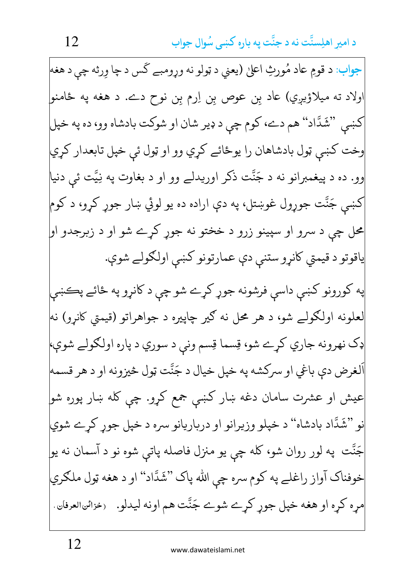جواب: د قومِ عاد مُورثِ اعليٰ (يعني د ټولو نه وړومبے کَس د چا وِرثه چي د هغه| اولاد ته ميلاؤيږي) عاد بن عوص بن اِرم بن نوح دے. د هغه په ځامنو| کښې "شَدَّاد" هم دے، کوم چې د ډير شان او شوکت بادشاه وو، ده په خپل وخت کښي ټول بادشاهان را يوځائے کړي وو او ټول ئې خپل تابعدار کړي وو. ده د پيغمبرانو نه د جَنَّت ذکر اوريدلے وو او د بغاوت په نِيَّت ئي دنيا کښې جَنَّت جوړول غوښتل، په دې اراده ده يو لوئي ښار جوړ کړو، د کوم محل چې د سرو او سپينو زرو د خختو نه جوړ کړے شو او د زبرجدو او ياقوتو د قيمتي كانړو ستنې دې عمارتونو كښى اولكولے شوې. په کورونو کښې داسې فرشونه جوړ کړے شو چې د کانړو په ځائے پڪښې لعلونه اولګولے شو، د هر محل نه ګیر چاپیره د جواهراتو (قیمتی کانرو) نه ډک نهرونه جاري کړے شو، قِسما قِسم وني د سوري د پاره اولګولے شوې، اَلغرض دې باغي او سرکشه په خپل خيال د جَنَّت ټول څيزونه او د هر قسمه عیش او عشرت سامان دغه ښار کښی جمع کړو. چی کله ښار پوره شو| نو "شَدَّاد بادشاه" د خپلو وزيرانو او درباريانو سره د خپل جور كرے شوي| جَنَّت په لور روان شو، کله چې يو منزل فاصله پاتې شوه نو د آسمان نه يو خوفناک آواز راغلے په کوم سره چي الله پاک ''شَدَّاد'' او د هغه ټول ملګري مره كره او هغه خپل جور كرے شوے جَنَّت هم اونه ليدلو. ﴿ دَائِنَالْعَرْفَانِ،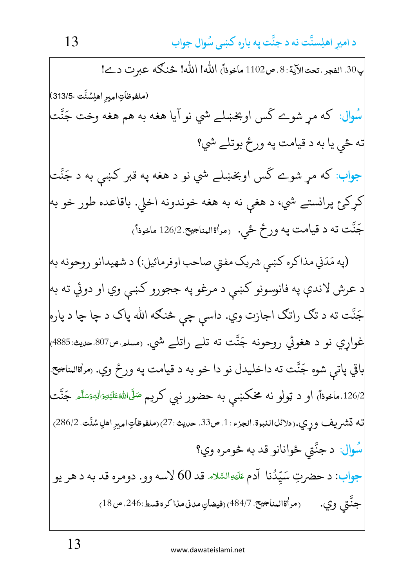ي30. الفجر ، تحتالآية: 8 ، ص1102 ماخوذاً) الله! الله! څنگه عبر ت دے! (ملفوظاتِ امير اهلِسُنَّت ،313/5) سُوال: که مړ شوے گس اوبخښلے شي نو آيا هغه به هم هغه وخت جَنَّت ته ځي يا به د قيامت په ورځ بوتلے شي؟ جواب: که مړ شوے گس اوبخښلے شي نو د هغه په قبر کښې به د جَنَّت کړکئ پرانستے شي، د هغې نه به هغه خوندونه اخلي. باقاعده طور خو به جَنَّت ته د قيامت په ورځ ځي. رمراةالمناجيح 126/2 ماخوذاً) (په مَدَني مذاكره كښى شريک مفتى صاحب اوفرمائيل:) د شهيدانو روحونه به د عرش لاندې په فانوسونو کښې د مرغو په ججورو کښې وي او دوئي ته به| جَنَّت ته د تگ راتگ اجازت وي. داسي چي څنگه الله پاک د چا چا د پاره غواړي نو د هغوئي روحونه جَنَّت ته تلے راتلے شي. (مسلم ص807 حديث:4885) باقي پاتې شوه جَنَّت ته داخليدل نو دا خو به د قيامت په ورځ وي. (مراةالمناجيح 126/2.ماخوذاً<sub>)</sub> او د ټولو نه مخکښې به حضور نبي کريم <sup>صَلَّى</sup>الل<sup>ه</sup>ُتَلَيْتِوَالل<sup>هِوَسَلَّمَ جَنَّت</sup> ته تشريف وري.ردلائلالنبوة الجزء : 1، ص33، حديث :27) (ملفوظاَتِ امير اهلِ سُنَّت، 286/2) سُوال: د جنَّتي ځوانانو قد به څومره وي؟ جواب: د حضرتِ سَيّدُنا آدم عَلَيْهِالسَّلام قد 60 لاسه وو. دومره قد به د هر يو جنَّتي وي. (مراةالمناجيح. 484/7)(فيضانِ مدني مذاكرة قسط:246. ص18)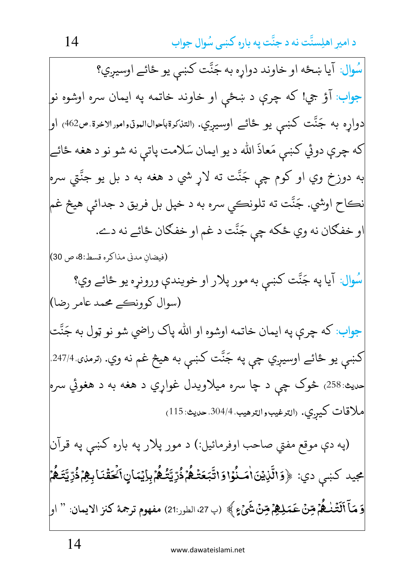سُوال: آيا ښځه او خاوند دواره به جَنَّت كښى يو ځائے اوسيږي؟ جواب: آؤ جي! که چرې د ښځې او خاوند خاتمه په ايمان سره اوشوه نو| دواړه به جَنَّت کښې يو ځائے اوسيږي. «لتنىرةباحوالالموټوامورالاخرة ص462<sub>)</sub> او که چرې دوئي کښې مَعاذَ الله د يو ايمان سَلامت پاتې نه شو نو د هغه ځائے به دوزخ وي او کوم چي جَنَّت ته لاړ شي د هغه به د بل يو جنَّتي سره نڪاح اوشي. جَنَّت ته تلونڪي سره به د خپل بل فريق د جدائې هيڅ غم او خفګان نه وي ځکه چې جَنَّت د غم او خفګان ځائے نه دے. (فيضان مدني مذاكره قسط:8، ص 30) سُوال: آيا په جَنَّت کښي به مور پلار او خويندې ورونړه يو ځائے وي؟ (سوال کوونڪے محمد عامر رضا) جواب: كه چرې په ايمان خاتمه اوشوه او الله پاك راضي شو نو ټول به جَنَّت کښې يو ځائے اوسيږي چې په جَنَّت کښې به هيڅ غم نه وي. (ترمنۍ 247/4<sub>۰</sub> <sub>حديث:</sub>258<sub>)</sub> څوک چې د چا سره ميلاويدل غواړي د هغه به د هغوئي سره ملاقات كير.ي. (الترغيب والترهيب 304/4. حديث: 115) (په دې موقع مفتي صاحب اوفرمائيل:) د مور پلار په باره کښي په قرآن مجيد كښى دي: ﴿وَالَّذِيۡنَاٰمَــٰلُوۡاوَاتَّبَعَتۡـٰـٰھُمۡ ذُرِّيَّتُـٰـٰھُمۡۚ بِإِيۡمَانٍ}لَحَقُنَابِـهِمۡ ذُرِّيَّتَـٰھُمۡ وَ مَآ ٱلۡتَّنْـٰـٰهُمۡ مِّنۡ عَمَـٰلِـٰهِمۡ مِّنۡ شَيۡءٍ ﴾ (ب 27، الطور:21) مفهوم ترجمهٔ كنز الايمان: '' او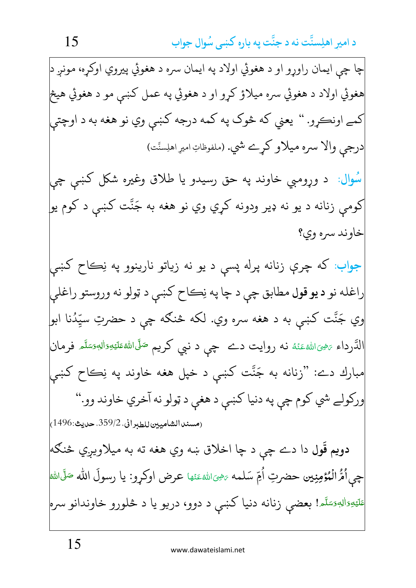چا چي ايمان راورو او د هغوئي اولاد په ايمان سره د هغوئي پيروي اوكره، مونږ د| هغوئي اولاد د هغوئي سره ميلاؤ کړو او د هغوئي په عمل کښې مو د هغوئي هيڅ| کمے اونڪرو. " يعني که څوک په کمه درجه کښې وي نو هغه به د اوچتي درجي والا سره ميلاو كرے شي. (ملفوظاتِ اميرِ اهلِستَت) سُوال: د وړومبي خاوند په حق رسیدو یا طلاق وغیره شکل کښې چې کومې زنانه د يو نه ډير ودونه کړي وي نو هغه به جَنَّت کښې د کوم يو| خاوند سره وي؟ جواب: که چرې زنانه پرله پسې د يو نه زياتو نارينوو په نِڪاح کښې راغله نو **د يو قول** مطابق چې د چا په نِڪاح کښې د ټولو نه وروستو راغلي وي جَنَّت کښې به د هغه سره وي. لکه څنګه چې د حضرتِ سيَّدُنا ابو| الدَّرداء <sub>تَضِّ</sub>الله عَنْهُ نه روايت دے چې د نبي کريم <sup>صَلَّى</sup>الله عَلَيْهِ وَالِهٖمَتَّم فرمان مبارك دے: "زنانه به جَنَّت كښى د خپل هغه خاوند په نِڪاح كښى ورکولے شي کوم چي په دنيا کښي د هغي د ټولو نه آخري خاوند وو." (مسند الشاميين للطبراني، 359/2، حديث:1496) دويم قَول دا دے چې د چا اخلاق ښه وي هغه ته به ميلاويږي څنګه| چي اُهُّ الْمُؤْمِنِين حضرتِ اُمِّ سَلمه <sub>كَ</sub>هِيَ اللهُءَةِها عرض اوكرو: يا رسولَ الله صَلَّى الله <sup>عَلَيْهِءَالِهٖءَسَلَّم! بعضي زنانه دنيا کښې د دوو، دريو يا د څلورو خاوندانو سره</sup>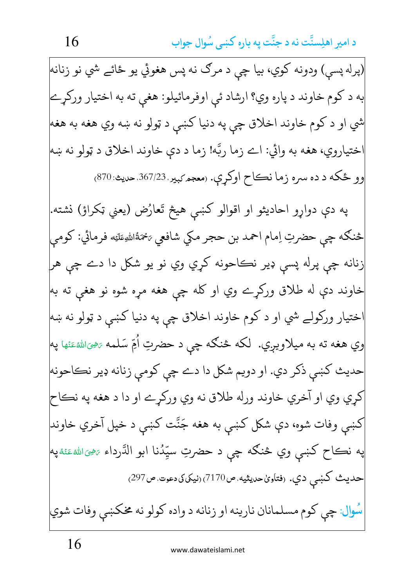(پرله پسې) ودونه کوي، بيا چې د مرګ نه پس هغوئي يو ځائے شي نو زنانه| به د کوم خاوند د پاره وي؟ ارشاد ئي اوفرمائيلو: هغي ته به اختيار ورکړے شي او د کوم خاوند اخلاق چي په دنيا کښي د ټولو نه ښه وي هغه به هغه ختياروي، هغه به وائي: اے زما ربَّه! زما د دې خاوند اخلاق د ټولو نه ښه وو ځکه د ده سره زما نڪاح اوکړې. (معجم <sub>کبير</sub>. 367/23 حديث: 870) په دې دواړو احاديثو او اقوالو کښې هيڅ تَعارُض (يعني ټکراؤ) نشته. څنگه چي حضرتِ اِمام احمد بن حجر مکي شافعي پخمَةُاللهِعَلَيْه فرمائي: کومي زنانه چي پرله پسي ډير نڪاحونه کړي وي نو يو شکل دا دے چي هر خاوند دې له طلاق ورکړے وي او کله چې هغه مړه شوه نو هغې ته به| ختيار وركولے شي او د كوم خاوند اخلاق چې په دنيا كښې د ټولو نه ښه وي هغه ته به میلاویږي. لکه څنګه چې د حضرتِ اُمِّ سَلمه ﷺﷺ په حديث کښي ذکر دي. او دويم شکل دا دے چي کومي زنانه ډير نڪاحونه کړي وي او آخري خاوند ورله طلاق نه وي ورکړے او دا د هغه په نڪاح کښې وفات شوه، دې شکل کښې به هغه جَنَّت کښې د خپل آخري خاوند| په نڪاح کښې وي څنګه چې د حضرتِ سيِّدُنا ابو الدَّرداء ﷺﷺ حديث كښى دي. (فتاوىٰحديثيه ص7170)(نيكىكىدعوت ص297) سُوال: چې کوم مسلمانان نارينه او زنانه د واده کولو نه مخکښې وفات شوي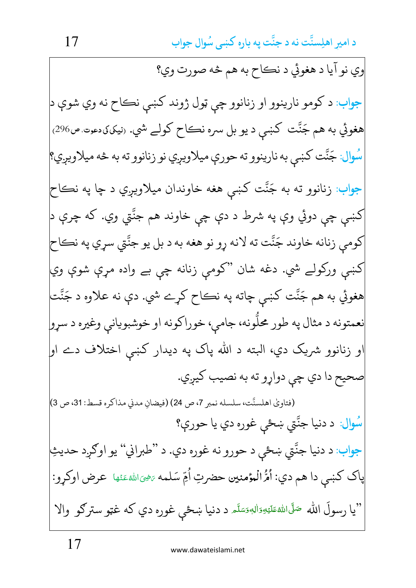وي نو آيا د هغوئي د نڪاح به هم څه صورت وي؟ جواب: د کومو نارينوو او زنانوو چي ټول ژوند کښي نڪاح نه وي شوې د هغوئي به هم جَنَّت کښي د يو بل سره نڪاح کولے شي. (نيکي،دعوت ص296) سُوال: جَنَّت کښې به نارينوو ته حورې ميلاويږي نو زنانوو ته به څه ميلاويږي؟ جواب: زنانوو ته به جَنَّت کښې هغه خاوندان ميلاويږي د چا په نڪاح کښې چې دوئي وې په شرط د دې چې خاوند هم جنّتي وي. که چرې د کومي زنانه خاوند جَنَّت ته لانه ړو نو هغه به د بل يو جنَّتي سړي په نڪاح کښي ورکولے شي. دغه شان "کومې زنانه چې بے واده مړې شوې وي| هغوئي به هم جَنَّت کښي چاته په نڪاح کړے شي. دې نه علاوه د جَنَّت نعمتونه د مثال په طور محلّونه، جامې، خوراكونه او خوشبويانې وغيره د سړو| او زنانوو شريک دي، البته د الله پاک په ديدار کښې اختلاف دے او| صحيح دا دي چې دواړو ته به نصيب کيږي. (فتاويٰ اهلسنَّت، سلسله نمبر 7، ص 24) (فيضانِ مدني مذاكره قسط: 31، ص 3) سُوال: د دنيا جنَّتي ښځي غوره دي يا حورې؟ جواب: د دنيا جنَّتي ښځې د حورو نه غوره دي. د "طبراني" يو اوګږد حديثِ پاک کښي دا هم دي: اُمُّ الْمؤمنين حضرتِ اُمِّ سَلمه ﷺ عَنْها عرض اوكړو: "يا رسولَ الله <sup>صَ</sup>لَىاللهﷺ د دنيا ښځې غوره دي که غټو سترګو والا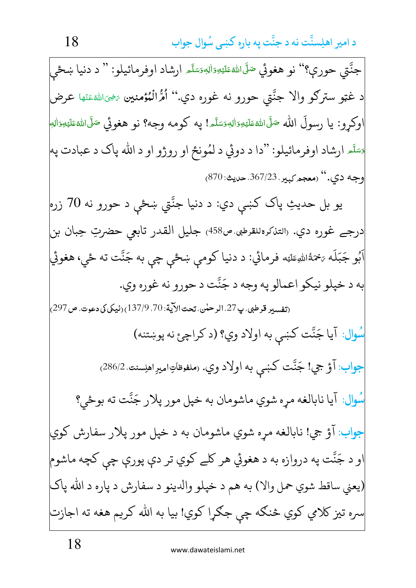جنَّتي حوري؟'' نو هغوئي صَلَّىالله عَلَيْهِ اللهوَسَلَّم ارشاد اوفرمائيلو: '' د دنيا ښځي د غټو سترګو والا جنَّتي حورو نه غوره دي.'' اُمُّ الْمُؤمنين ﷺئها عرض اوكړو: يا رسولَ الله صَلَّىاللهsعَلَي<sub>ّـُ</sub>وَال<sub>ل</sub>هوَسَلَّـه! په كومه وجه؟ نو هغوئي صَلَّىاللهءَليَّةِوَال<sub>ل</sub>َّه قَسَّدَ ارشاد اوفرمائيلو: "دا د دوئي د لمُونځ او روژو او د الله پاک د عبادت په وجه دي.'' (معجم کيبر، 367/23. حديث: 870) يو بل حديثِ پاک کښې دي: د دنيا جنَّتي ښځې د حورو نه 70 زره درجے غورہ دی. ‹التناكرەللقرطبي ص458› جليل القدر تابعي حضرتِ حِبان بن اَبُو جَبَلَه ؍ۡحَمَّاﷲِعَلَيْه فرمائي: د دنيا کومې ښځې چې به جَنَّت ته ځې، هغوئي به د خپلو نيکو اعمالو په وجه د جَنَّت د حوړو نه غوړه وي. (تفسيد قرطبي، پ27. الر حلن، تحت الآية: 70. 137/9) (نيكي كي دعوت. ص297) سُوال: آيا جَنَّت كښى به اولاد وي؟ (د كراچئ نه پوښتنه) جواب: آؤ جي! جَنَّت کښې به اولاد وي. (ملفوظاتِ١ميرِ١هلِسنت. 286/2) سُوال: آيا نابالغه مړه شوي ماشومان به خپل مور پلار جَنَّت ته بوځي؟ جواب: آؤ جي! نابالغه مره شوي ماشومان به د خيل مور يلار سفارش كوي او د جَنَّت په دروازه به د هغوئي هر کلے کوي تر دي پورې چې کچه ماشوم (يعني ساقط شوي حمل والا) به هم د خپلو والدينو د سفارش د پاره د الله پاک سره تيز كلامي كوي څنګه چې جګړا كوي! بيا به الله كريم هغه ته اجازت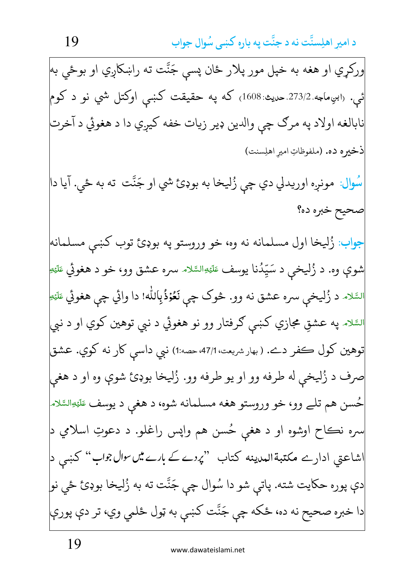ورکړي او هغه به خپل مور پلار ځان پسې جَنَّت ته راښکاږي او بوځي به ائمي. «ابنِماجه 273/2 حديث: 1608<sub>)</sub> كه په حقيقت كښى اوكتل شي نو د كوم نابالغه اولاد په مرګ چي والدين ډير زيات خفه کيږي دا د هغوئي د آخرت ذخيره ده. (ملفوظاتِ امير اهلِسنت) سُوال: مونږه اوريدلي دي چې زُليخا به بوډئ شي او جَنَّت ته به ځي. آيا دا صحيح خبره ده؟ جواب: زُليخا اول مسلمانه نه وه، خو وروستو په بوډئ توب كښى مسلمانه| شوې وه. د زُليخې د سَپّدُنا يوسف عَلَي<sub>َّ</sub> السَّلام سره عشق وو، خو د هغوئي عَليَّةِ السَّلام د زُليخې سره عشق نه وو. څوک چې نَعُوْذُبِالله! دا وائي چې هغوئي عَلَيْتِ<sup>ا</sup> السَّلا*ه* په عشقِ مجازي کښې ګرفتار وو نو هغوئي د نبي توهین کوي او د نبی توهين كول كفر دے. (بهارشريعت،47/1 حصه:1) نبي داسى كار نه كوي. عشق صرف د زُليخي له طرفه وو او يو طرفه وو. زُليخا بوډئ شوې وه او د هغي حُسن هم تلے وو، خو وروستو هغه مسلمانه شوه، د هغې د يوسف عَلَيْهِالسَّلام سره نڪاح اوشوه او د هغې حُسن هم واپس راغلو. د دعوتِ اسلامي د اشاعتی ادارے مکتبةالمدینه کتاب ''*پردے کے بارے میں حوال جوا*ب'' کښی د<mark>|</mark> دې پوره حکايت شته. پاتي شو دا سُوال چي جَنَّت ته به زُليخا بوډئ ځي نو| دا خبره صحيح نه ده، ځکه چې جَنَّت کښې به ټول ځلمي وي، تر دې پورې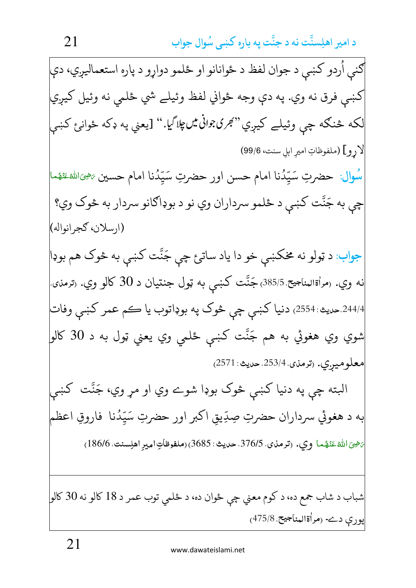|ګني اُردو کښي د جوان لفظ د ځوانانو او ځلمو دوارو د پاره استعماليږي، دې| کښي فرق نه وي. په دې وجه ځواني لفظ وئيلے شي ځلمي نه وئيل کيږي| لکه څنګه چې وئيلے کيږي" *گِرن؟واني پڻچاڳ*اِ." [يعني په ډکه ځوانئ کښي لارو] (ملفوظاتِ اميرِ ابل سنت، 99/6) سُوال: حضرتِ سَيِّدُنا امام حسن اور حضرتِ سَيِّدُنا امام حسين ﷺ الله عَنْهُما چې به جَنَّت کښې د ځلمو سرداران وي نو د بوډاګانو سردار به څوک وي؟ (ارسلان، كجرانواله) جواب: د ټولو نه مخکښې خو دا ياد ساتئ چې جَنَّت کښې به څوک هم بوډا نه وي. رمراةالمناجيح.385/5)جَنَّت كښى به ټول جنتيان د 30 كالو وي. رترمنۍ ً 244/4.حديث: 2554، دنيا کښې چې څوک په بوډاتوب يا ڪم عمر کښي وفات شوي وي هغوئي به هم جَنَّت کښې ځلمی وي يعني ټول به د 30 کالو معلوميږي. (ترمذي 253/4 مديث: 2571) البته چې په دنيا کښې څوک بوډا شوے وي او مړ وي، جَنَّت کښې به د هغوئي سرداران حضرتِ صِدِّيقِ اكبر اور حضرتِ سَيِّدُنا ۖ فاروقِ اعظم ئْضِيَ اللَّهُ عَنْهُما وي. (ترمذي، 376/5، حديث: 3685) (ملفوظاَتِ امير اهلِسنت، 186/6) شباب د شاب جمع ده، د کوم معني چي ځوان ده، د ځلمي توب عمر د 18 کالو نه 30 کالو پورې دے- (مراةالمناجيح ،475/8)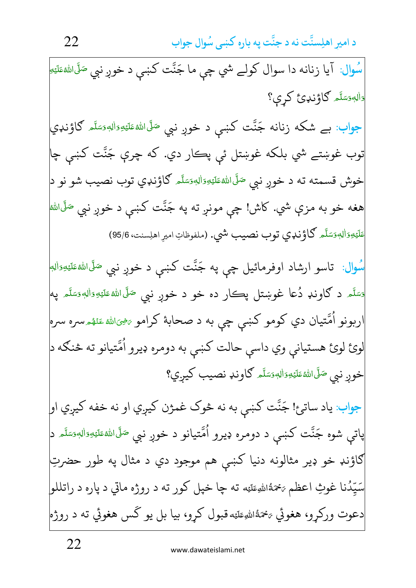22 **-** 

سُوال: آيا زنانه دا سوال كولے شي چې ما جَنَّت كښې د خوږ نبي <sup>صَلَّى</sup>ال<sup>لهءَلي</sup>َةِ <u>ٔ</u> **E** مُ<br>ا َ دَالەدَسَّلَّہ كَاؤْندى كړې؟ ّ **∶** َ <u>ا</u> جواب: بے شکه زنانه جَنَّت کښې د خوږ نبي <sup>صَلَّى</sup>الله<sup>ِ</sup>ءَلَيْهِۥَاللهِ کاؤنډي ّ **∶** <u>أ</u> <u>ا</u> <u>:</u> **E** مُ<br>ا َ توب غوښتے شي بلکه غوښتل ئې پڪار دي. که چرې جَنَّت کښې چا خوش قسمته ته د خوږ نبي <sup>صَلَّى</sup>اللهٔعَلَيْ<sub>َ</sub>وَاللهِصَلَّه گاؤنډي توب نصيب شو نو د<mark>ې</mark> ا <u>أَ</u> <u>أَ</u> **ٔ** <u>َ</u> ُ َ هغه خو به مزې شي. کاش! چې مونږ ته په جَنَّت کښې د خوږ نبي <sup>صَلَّى</sup>الله <u>مُ</u> َ عَلَيْدِوَالِهٖوَسَلَّم گاؤنډي توب نصيب شي. (ملفوظاتِ اميرِ اهلِسنت، 95/6) اً **∫** <u>ا</u> <u>ا</u> ْ **E** -.<br>سُوال: تاسو ارشاد اوفرمائيل چې په جَنَّت کښې د خوږ نبي <sup>صَلَّى</sup>الل<sup>ه عَلَيْهِ َالله</sup> **أَ**ّ <u>ٔ</u> **E** <u>مُ</u> َ <sub>ق</sub>سَلَّم د ګاونډ دُعا غوښتل پڪار ده خو د خوږ نبي <sup>صَلَّى</sup> الله<sup>ه عَل</sup>َيۡهِ وَاللَّهِ صَلَّا م ّ **∶** <u>ا</u> # ِ <u>ا</u> **ٔ E** <u>مُ</u> َ ّ **∫** <u>ا</u> اربونو اُمَّتيان دي كومو كښې چې به د صحابهٔ كرامو <sub>تَ</sub>خِيَالله عَنْهْ ِسره سره<mark>ِ</mark> و<br>1 **ائل**<br>ا <u>أَ</u> <u>مُ</u> ِ<br>أ لوئ لوئ هستياني وي داسې حالت كښې به دومره ډيرو اُمَّتيانو ته څنګه د<mark>.</mark> و<br>1 خوږ نبي <sup>صَلَّى</sup> الله عَلَيْهِ وَالله وَسَلَّم كاونډ نصيب كيږي؟ اً **∫** <u>ا</u> <u>ا</u> **ٔ E** <u>مُ</u> َ جواب: ياد ساتئ! جَنَّت كښي به نه څوک غمژن كيږي او نه خفه كيږي او<mark>.</mark> پاتې شوه جَنَّت کښې د دومره ډيرو اُمَّتيانو د خوږ نبي <sup>صَلَّى</sup>ال<sup>ل</sup>ُّهْئَةِي<sub>َّ</sub>دَال<sub>ُّ</sub>مِسَلَّم د<mark>ِ</mark> و<br>1 ّ **∶** <u>أَ</u> َ <u>ا</u> <u>أَ</u> <u>مُ</u> َ ګاؤنډ خو ډير مثالونه دنيا کښې هم موجود دي د مثال په طور حضرتِ سَيِّدُنا غوثِ اعظم  $\tilde{s}$ مَّةُاللهِءَلَيْه ته چا خپل کور ته د روژه ماتي د پاره د راتللو $\Big\vert$ و<br>ا ر<br>د -<u>َ</u> **با** دعوت ورکړو، هغوئي <sub>تَ</sub>حْمَهُ<sub>اللَّ</sub>ءَليَه قبول کړو، بيا بل يو گس هغوئي ته د روژه<mark></mark> <u>َ</u> <u>ت</u> ₹ ؛ بيا بل يو ك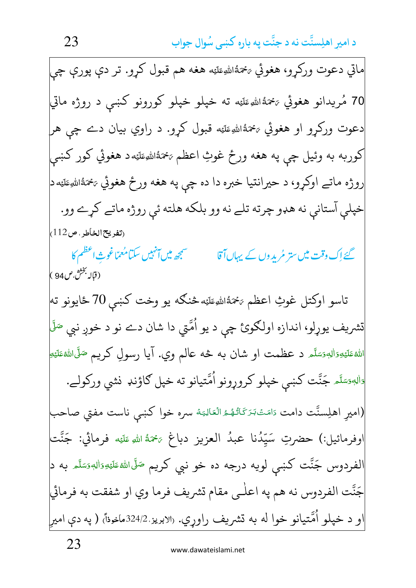23 **-** 

ماتي دعوت ورکړو، هغوئي تختُّاللهِعَلَيْه هغه هم قبول کړو. تر دې پورې چې **ٔ** <u>َ</u> <u>ت</u> 70 مُريدانو هغوئي <sub>تَ</sub>حْمَةُالل<sub>ّّٰ</sub>ءَلَيْه ته خپلو خپلو كورونو كښې د روژه ماتي ْ <u>َ</u> دعوت ورکړو او هغوئي  $\epsilon$ ۀاللهِءَليَه قبول کړو. د راوي بيان دے چې هر <u>َ</u> **با** کوربه به وئيل چې په هغه ورځ غوثِ اعظم  $\mathbb{R}^3$ اڻهءَليَه د هغوئي کور کښې ا<br>أ <u>أَ</u> <u>ت</u> روژه ماتے اوکړو، د حيرانتيا خبره دا ده چې په هغه ورځ هغوئي &تمَةاللهِعَلَيَه د <u>أَ</u> **با** خپلې آستانې نه هډو چرته تلے نه وو بلکه هلته ئې روژه ماتے کړے وو. <sub>(</sub>تفريح الخاطر ، ص112) ِ ا<br>الم °<br>P گئے اِک وقت میں ستر مُرید وں کے یہاں **آقا ہیں کہ تہیں کہ اُنہیں سکتا مُعمّا** غوثِ مُعمّاغوثِ اعظم كا ر<br>ر (قاله بخث ص 94 ) تاسو اوكتل غوثِ اعظم ع<sup>ي</sup>حَةُالل<sub>َّ</sub>عَلَيْه څنگه يو وخت كښې 70 ځايونو ته ْ <u>أَ</u> َ تشريف يوړلو، اندازه اولګوئ چې د يو اُمَّتي دا شان دے نو د خوږ نبي <sup>صَلَ</sup>ّ و<br>1 الله عَليَهِ وَالِهٖوَسَلَّم <mark>د عظمت او شان به څه عالم وي. آیا رسولِ</mark> کریم <sup>صَلَّى</sup>اللهٔعَلَيْهِ <u>ا</u> **ٔ E** <u>ہ</u> َ اً <u>ا</u> <u>ٔ</u> **E** <u>ہ</u> دَالِهِدَسَّلَم جَنَّت كښي خپلو كروړونو اُمَّتيانو ته خپل كاؤنډ نشي وركولے. ّ **€** <u>ا</u> <u>ا</u> و<br>1 (اميرِ اهلِسنَّت دامت دَامَتْ $بَرَكَاتُهُمُ الْعَالِيَة سره خوا كښې ناست مفتي صاحب$ -∶ٌ <u>َ</u> م<br>م م<br>ا **أَ** <u>َ</u> **∶** í اوفرمائيل:) حضرتِ سَيِّدُنا عبدُ العزيز دباغ ﷺ اللهِ عَلَيْه فرمائي: جَنَّت ں<br>، -<u>ا</u> <u>أَ</u> <u>ت</u> الفردوس جَنَّت كښى لويه درجه ده خو نبي كريم <sup>صَلّى</sup>ال<sup>لهء</sup>تَليَّهِ َاليه مَسَّلَم به د<mark>.</mark> اً **∶** <u>ا</u> <u>ا</u> **ٔ E گ** َ جَنَّت الفردوس نه هم په اعلٰـي مقام تشريف فرما وي او شفقت به فرمائي او د خپلو اُمَّتيانو خوا له به تشريف راوړي. «لابريز 324/2ماخوذاً) ( په دې اميرٍ و<br>1 -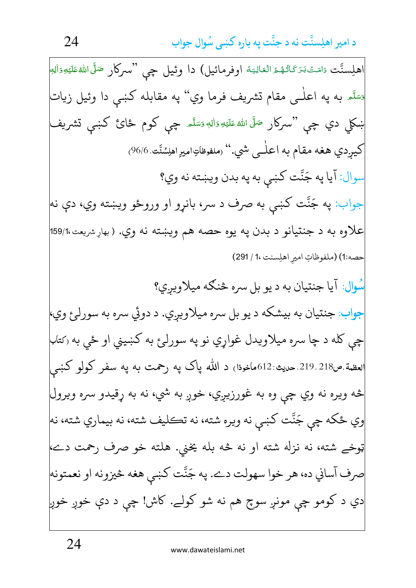اهلِسنَّت دَامَتْبَرَكَاتُهُمُّ الْعَالِيَهُ اوفرمائيل) دا وئيل چي "سركار صَلَّى اللهُ عَلَيْهِ وَالِب تَّسَدَّه به په اعلٰـي مقام تشريف فرما وي'' په مقابله کښی دا وئيل زيات ښکلی دي چی "سرکار <sup>صَلَّى</sup> الله عَلَيۡهِ وَاللهٖ وَسَلَّـہ چی کوم ځائ کښی تشریف کيږدي هغه مقام به اعلٰــی شي.'' (ملفوظاتِاميرِاهلِسُنَّت 96/6) سوال: آيا په جَنَّت كښي به په بدن ويښته نه وي؟ جواب: په جَنَّت کښې به صرف د سر، بانړو او وروځو ويښته وي، دې نه علاوه به د جنتيانو د بدن يه يوه حصه هم ويښته نه وي. (بهاړشريعت،159/1 حصه:1) (ملفوظاتِ اميرِ اهلِسنت ،1 / 291) سُوال: آيا جنتيان به د يو بل سره څنګه ميلاويږي؟ جواب: جنتيان به بيشكه د يو بل سره ميلاويږي. د دوئي سره به سورلږع وي، چې کله د چا سره ميلاويدل غواړي نو په سورلۍٔ به کښيني او ځي به رکتاب لعظمة.ص218.219.حديث:612ماخوذا) د الله پاک په رحمت به په سفر کولو کښې څه ويره نه وي چې وه به غورزيږي، خوږ به شي، نه به ړقيدو سره ويرول اوي ځکه چي جَنَّت کښي نه ويره شته، نه تڪليف شته، نه بيماري شته، نه ټوخے شته، نه نزله شته او نه څه بله یخني. هلته خو صرف رحمت دے، صرف آساني ده، هر خوا سهولت دے. په جَنَّت كښى هغه څيزونه او نعمتونه| دي د کومو چې مونږ سوچ هم نه شو کولے. کاش! چې د دې خوږ خوږ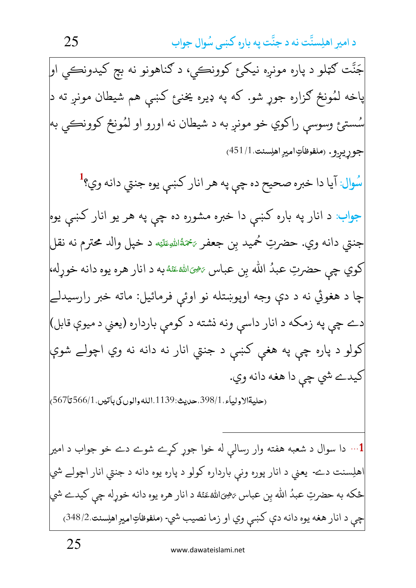جَنَّت ګټلو د پاره مونږه نيکر<sub>ئ</sub> کوونڪي، د ګناهونو نه بچ کيدونڪي او| پاخه لُمُونځ ګزاره جوړ شو. که په ډيره يخنږع کښې هم شيطان مونږ ته د| سُستيځ وسوسي راکوي خو مونږ به د شيطان نه اورو او لمُونځ کوونڪي به جوړيږو. (ملفوظاتِ اميرِ اهلِسنت.1/145) سُوال: آيا دا خبره صحيح ده چې په هر انار كښې يوه جنتي دانه وي؟<sup>1</sup> جواب: د انار په باره کښې دا خبره مشوره ده چې په هر يو انار کښې يوه جنتي دانه وي. حضرتِ حُميد بِن جعفر عُمَّةُاللهِطَيَه د خپل والد محترم نه نقل كوي چي حضرتِ عبدُ الله بِن عباس ﷺﷺ به د انار هره يوه دانه خوړله، چا د هغوئي نه د دې وجه اوپوښتله نو اوئې فرمائيل: ماته خبر رارسيدلے دے چې په زمکه د انار داسې ونه نشته د کومې بارداره (يعني د ميوې قابل) کولو د پاره چې په هغې کښې د جنتي انار نه دانه نه وي اچولے شوې کيدے شي چي دا هغه دانه وي. (حليةالاولياء،398/1.حديث:1139.الله والوں کی باتيں،566/1 تا567] 1… دا سوال د شعبه هفته وار رسالې له خوا جوړ کړے شوے دے خو جواب د امير<mark>.</mark> اهلِسنت دے- يعني د انار پوره وني بارداره كولو د پاره يوه دانه د جنتي انار اچولے شي| ځکه به حضرتِ عبدُ الله بن عباس يَخِيَاللهُءَنَهُ د انار هره يوه دانه خوړله چي کيدے شي چې د انار هغه يوه دانه دې كښى وي او زما نصيب شي- (ملفوظاتِ۱ميرِ اهلِسنت.348/2)

25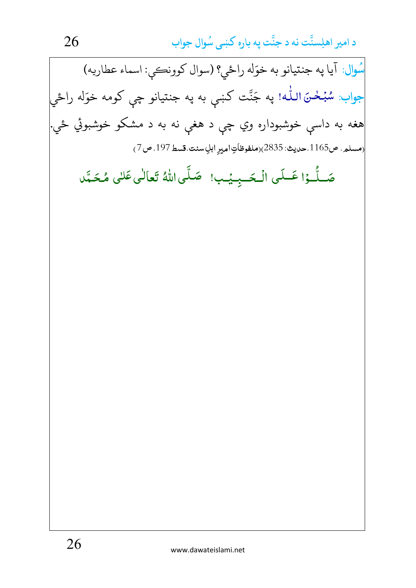د امیر اهلِستَّت نه د جنَّت په باره کښی سُوال جواب 26 سُوال: آيا په جنتيانو به خوَله راځي؟ (سوال كوونكې: اسماء عطاريه) جواب: سُبُحْنَ اللّٰه! په جَنَّت کښې به په جنتيانو چې کومه خوَله راځي هغه به داسې خوشبوداره وي چې د هغې نه به د مشکو خوشبوئي ځي. (مسلم. ص1165.حديث: 2835)(ملفوظاَتِ امير ابلِ سنت قسط 197. ص 7) صَلُّـوۡا عَـلَى الۡـحَــبِـيۡب! ۖ صَلَّى اللَّهُ تَعَالَٰى عَلَى مُحَمَّد